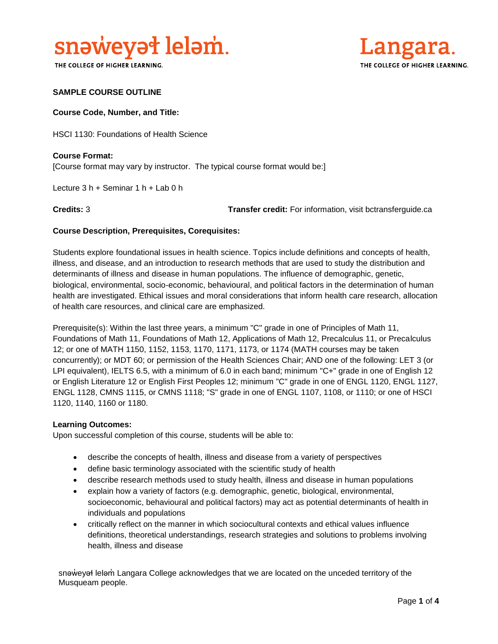

THE COLLEGE OF HIGHER LEARNING.



## **SAMPLE COURSE OUTLINE**

### **Course Code, Number, and Title:**

HSCI 1130: Foundations of Health Science

**Course Format:** [Course format may vary by instructor. The typical course format would be:]

Lecture 3 h + Seminar 1 h + Lab 0 h

**Credits:** 3 **Transfer credit:** For information, visit bctransferguide.ca

## **Course Description, Prerequisites, Corequisites:**

Students explore foundational issues in health science. Topics include definitions and concepts of health, illness, and disease, and an introduction to research methods that are used to study the distribution and determinants of illness and disease in human populations. The influence of demographic, genetic, biological, environmental, socio-economic, behavioural, and political factors in the determination of human health are investigated. Ethical issues and moral considerations that inform health care research, allocation of health care resources, and clinical care are emphasized.

Prerequisite(s): Within the last three years, a minimum "C" grade in one of Principles of Math 11, Foundations of Math 11, Foundations of Math 12, Applications of Math 12, Precalculus 11, or Precalculus 12; or one of MATH 1150, 1152, 1153, 1170, 1171, 1173, or 1174 (MATH courses may be taken concurrently); or MDT 60; or permission of the Health Sciences Chair; AND one of the following: LET 3 (or LPI equivalent), IELTS 6.5, with a minimum of 6.0 in each band; minimum "C+" grade in one of English 12 or English Literature 12 or English First Peoples 12; minimum "C" grade in one of ENGL 1120, ENGL 1127, ENGL 1128, CMNS 1115, or CMNS 1118; "S" grade in one of ENGL 1107, 1108, or 1110; or one of HSCI 1120, 1140, 1160 or 1180.

#### **Learning Outcomes:**

Upon successful completion of this course, students will be able to:

- describe the concepts of health, illness and disease from a variety of perspectives
- define basic terminology associated with the scientific study of health
- describe research methods used to study health, illness and disease in human populations
- explain how a variety of factors (e.g. demographic, genetic, biological, environmental, socioeconomic, behavioural and political factors) may act as potential determinants of health in individuals and populations
- critically reflect on the manner in which sociocultural contexts and ethical values influence definitions, theoretical understandings, research strategies and solutions to problems involving health, illness and disease

snəweyał leləm Langara College acknowledges that we are located on the unceded territory of the Musqueam people.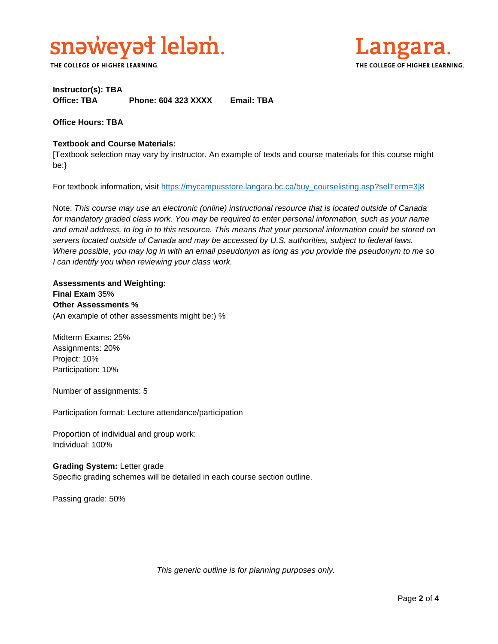

THE COLLEGE OF HIGHER LEARNING.



# **Instructor(s): TBA Office: TBA Phone: 604 323 XXXX Email: TBA**

**Office Hours: TBA** 

## **Textbook and Course Materials:**

[Textbook selection may vary by instructor. An example of texts and course materials for this course might be:}

For textbook information, visit [https://mycampusstore.langara.bc.ca/buy\\_courselisting.asp?selTerm=3|8](https://mycampusstore.langara.bc.ca/buy_courselisting.asp?selTerm=3|8)

Note: *This course may use an electronic (online) instructional resource that is located outside of Canada*  for mandatory graded class work. You may be required to enter personal information, such as your name *and email address, to log in to this resource. This means that your personal information could be stored on servers located outside of Canada and may be accessed by U.S. authorities, subject to federal laws. Where possible, you may log in with an email pseudonym as long as you provide the pseudonym to me so I can identify you when reviewing your class work.* 

**Assessments and Weighting: Final Exam** 35% **Other Assessments %** (An example of other assessments might be:) %

Midterm Exams: 25% Assignments: 20% Project: 10% Participation: 10%

Number of assignments: 5

Participation format: Lecture attendance/participation

Proportion of individual and group work: Individual: 100%

**Grading System:** Letter grade Specific grading schemes will be detailed in each course section outline.

Passing grade: 50%

*This generic outline is for planning purposes only.*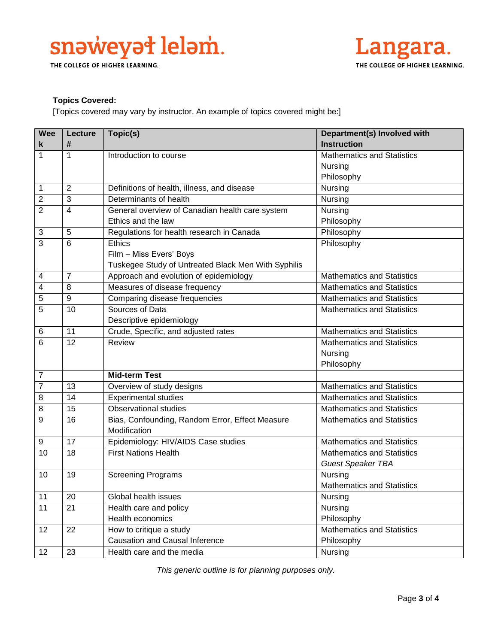

THE COLLEGE OF HIGHER LEARNING.



# **Topics Covered:**

[Topics covered may vary by instructor. An example of topics covered might be:]

| <b>Wee</b>       | Lecture          | Topic(s)                                            | Department(s) Involved with       |
|------------------|------------------|-----------------------------------------------------|-----------------------------------|
| k                | #                |                                                     | <b>Instruction</b>                |
| $\mathbf{1}$     | 1                | Introduction to course                              | Mathematics and Statistics        |
|                  |                  |                                                     | Nursing                           |
|                  |                  |                                                     | Philosophy                        |
| $\mathbf{1}$     | $\overline{2}$   | Definitions of health, illness, and disease         | Nursing                           |
| $\overline{2}$   | 3                | Determinants of health                              | Nursing                           |
| $\overline{2}$   | 4                | General overview of Canadian health care system     | Nursing                           |
|                  |                  | Ethics and the law                                  | Philosophy                        |
| 3                | 5                | Regulations for health research in Canada           | Philosophy                        |
| $\overline{3}$   | 6                | <b>Ethics</b>                                       | Philosophy                        |
|                  |                  | Film - Miss Evers' Boys                             |                                   |
|                  |                  | Tuskegee Study of Untreated Black Men With Syphilis |                                   |
| 4                | $\overline{7}$   | Approach and evolution of epidemiology              | <b>Mathematics and Statistics</b> |
| 4                | 8                | Measures of disease frequency                       | <b>Mathematics and Statistics</b> |
| 5                | $\boldsymbol{9}$ | Comparing disease frequencies                       | <b>Mathematics and Statistics</b> |
| 5                | 10               | Sources of Data                                     | <b>Mathematics and Statistics</b> |
|                  |                  | Descriptive epidemiology                            |                                   |
| 6                | 11               | Crude, Specific, and adjusted rates                 | <b>Mathematics and Statistics</b> |
| 6                | 12               | Review                                              | <b>Mathematics and Statistics</b> |
|                  |                  |                                                     | Nursing                           |
|                  |                  |                                                     | Philosophy                        |
| $\overline{7}$   |                  | <b>Mid-term Test</b>                                |                                   |
| $\overline{7}$   | 13               | Overview of study designs                           | <b>Mathematics and Statistics</b> |
| 8                | 14               | <b>Experimental studies</b>                         | <b>Mathematics and Statistics</b> |
| 8                | 15               | <b>Observational studies</b>                        | <b>Mathematics and Statistics</b> |
| $\boldsymbol{9}$ | 16               | Bias, Confounding, Random Error, Effect Measure     | <b>Mathematics and Statistics</b> |
|                  |                  | Modification                                        |                                   |
| 9                | 17               | Epidemiology: HIV/AIDS Case studies                 | <b>Mathematics and Statistics</b> |
| 10               | 18               | <b>First Nations Health</b>                         | <b>Mathematics and Statistics</b> |
|                  |                  |                                                     | <b>Guest Speaker TBA</b>          |
| 10               | 19               | <b>Screening Programs</b>                           | Nursing                           |
|                  |                  |                                                     | <b>Mathematics and Statistics</b> |
| 11               | 20               | Global health issues                                | Nursing                           |
| 11               | $\overline{21}$  | Health care and policy                              | Nursing                           |
|                  |                  | Health economics                                    | Philosophy                        |
| 12               | $\overline{22}$  | How to critique a study                             | <b>Mathematics and Statistics</b> |
|                  |                  | <b>Causation and Causal Inference</b>               | Philosophy                        |
| 12               | 23               | Health care and the media                           | Nursing                           |

*This generic outline is for planning purposes only.*